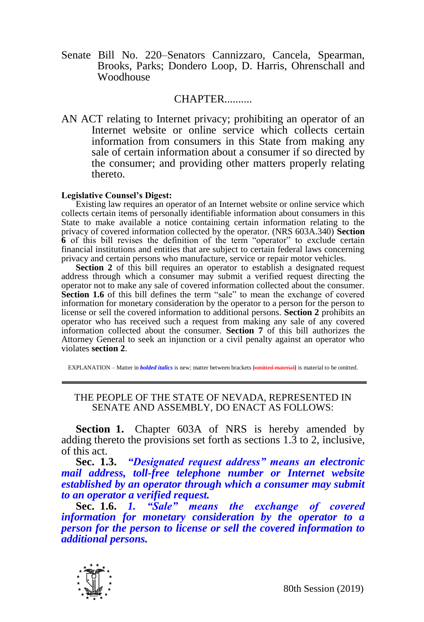Senate Bill No. 220–Senators Cannizzaro, Cancela, Spearman, Brooks, Parks; Dondero Loop, D. Harris, Ohrenschall and Woodhouse

## CHAPTER..........

AN ACT relating to Internet privacy; prohibiting an operator of an Internet website or online service which collects certain information from consumers in this State from making any sale of certain information about a consumer if so directed by the consumer; and providing other matters properly relating thereto.

## **Legislative Counsel's Digest:**

Existing law requires an operator of an Internet website or online service which collects certain items of personally identifiable information about consumers in this State to make available a notice containing certain information relating to the privacy of covered information collected by the operator. (NRS 603A.340) **Section 6** of this bill revises the definition of the term "operator" to exclude certain financial institutions and entities that are subject to certain federal laws concerning privacy and certain persons who manufacture, service or repair motor vehicles.

**Section 2** of this bill requires an operator to establish a designated request address through which a consumer may submit a verified request directing the operator not to make any sale of covered information collected about the consumer. Section 1.6 of this bill defines the term "sale" to mean the exchange of covered information for monetary consideration by the operator to a person for the person to license or sell the covered information to additional persons. **Section 2** prohibits an operator who has received such a request from making any sale of any covered information collected about the consumer. **Section 7** of this bill authorizes the Attorney General to seek an injunction or a civil penalty against an operator who violates **section 2**.

EXPLANATION – Matter in *bolded italics* is new; matter between brackets **[**omitted material**]** is material to be omitted.

## THE PEOPLE OF THE STATE OF NEVADA, REPRESENTED IN SENATE AND ASSEMBLY, DO ENACT AS FOLLOWS:

**Section 1.** Chapter 603A of NRS is hereby amended by adding thereto the provisions set forth as sections 1.3 to 2, inclusive, of this act.

**Sec. 1.3.** *"Designated request address" means an electronic mail address, toll-free telephone number or Internet website established by an operator through which a consumer may submit to an operator a verified request.*

**Sec. 1.6.** *1. "Sale" means the exchange of covered information for monetary consideration by the operator to a person for the person to license or sell the covered information to additional persons.* 



80th Session (2019)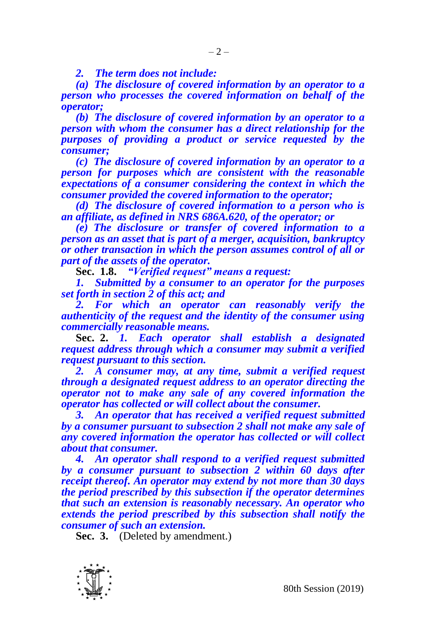*2. The term does not include:*

*(a) The disclosure of covered information by an operator to a person who processes the covered information on behalf of the operator;*

*(b) The disclosure of covered information by an operator to a person with whom the consumer has a direct relationship for the purposes of providing a product or service requested by the consumer;*

*(c) The disclosure of covered information by an operator to a person for purposes which are consistent with the reasonable expectations of a consumer considering the context in which the consumer provided the covered information to the operator;*

*(d) The disclosure of covered information to a person who is an affiliate, as defined in NRS 686A.620, of the operator; or*

*(e) The disclosure or transfer of covered information to a person as an asset that is part of a merger, acquisition, bankruptcy or other transaction in which the person assumes control of all or part of the assets of the operator.* 

**Sec. 1.8.** *"Verified request" means a request:*

*1. Submitted by a consumer to an operator for the purposes set forth in section 2 of this act; and* 

*2. For which an operator can reasonably verify the authenticity of the request and the identity of the consumer using commercially reasonable means.* 

**Sec. 2.** *1. Each operator shall establish a designated request address through which a consumer may submit a verified request pursuant to this section.*

*2. A consumer may, at any time, submit a verified request through a designated request address to an operator directing the operator not to make any sale of any covered information the operator has collected or will collect about the consumer.*

*3. An operator that has received a verified request submitted by a consumer pursuant to subsection 2 shall not make any sale of any covered information the operator has collected or will collect about that consumer.*

*4. An operator shall respond to a verified request submitted by a consumer pursuant to subsection 2 within 60 days after receipt thereof. An operator may extend by not more than 30 days the period prescribed by this subsection if the operator determines that such an extension is reasonably necessary. An operator who extends the period prescribed by this subsection shall notify the consumer of such an extension.* 

**Sec. 3.** (Deleted by amendment.)

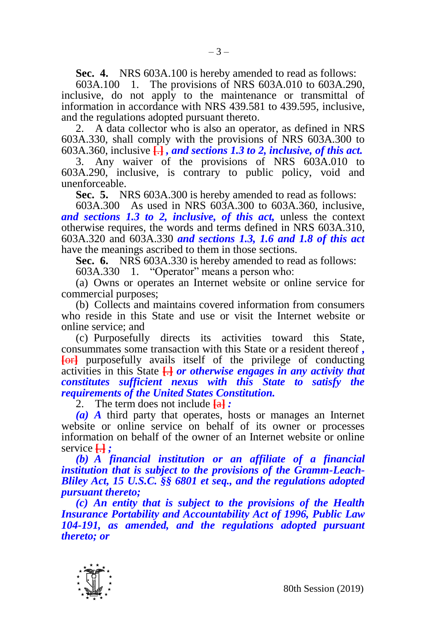**Sec. 4.** NRS 603A.100 is hereby amended to read as follows:

 $-3-$ 

603A.100 1. The provisions of NRS 603A.010 to 603A.290, inclusive, do not apply to the maintenance or transmittal of information in accordance with NRS 439.581 to 439.595, inclusive, and the regulations adopted pursuant thereto.

2. A data collector who is also an operator, as defined in NRS 603A.330, shall comply with the provisions of NRS 603A.300 to 603A.360, inclusive **[**.**]** *, and sections 1.3 to 2, inclusive, of this act.* 

3. Any waiver of the provisions of NRS 603A.010 to 603A.290, inclusive, is contrary to public policy, void and unenforceable.

**Sec. 5.** NRS 603A.300 is hereby amended to read as follows:

603A.300 As used in NRS 603A.300 to 603A.360, inclusive, *and sections 1.3 to 2, inclusive, of this act,* unless the context otherwise requires, the words and terms defined in NRS 603A.310, 603A.320 and 603A.330 *and sections 1.3, 1.6 and 1.8 of this act*  have the meanings ascribed to them in those sections.

**Sec. 6.** NRS 603A.330 is hereby amended to read as follows:

603A.330 1. "Operator" means a person who:

(a) Owns or operates an Internet website or online service for commercial purposes;

(b) Collects and maintains covered information from consumers who reside in this State and use or visit the Internet website or online service; and

(c) Purposefully directs its activities toward this State, consummates some transaction with this State or a resident thereof *,* **[**or**]** purposefully avails itself of the privilege of conducting activities in this State **[**.**]** *or otherwise engages in any activity that constitutes sufficient nexus with this State to satisfy the requirements of the United States Constitution.*

2. The term does not include **[**a**]** *:*

*(a) A* third party that operates, hosts or manages an Internet website or online service on behalf of its owner or processes information on behalf of the owner of an Internet website or online service **[**.**]** *;*

*(b) A financial institution or an affiliate of a financial institution that is subject to the provisions of the Gramm-Leach-Bliley Act, 15 U.S.C. §§ 6801 et seq., and the regulations adopted pursuant thereto;*

*(c) An entity that is subject to the provisions of the Health Insurance Portability and Accountability Act of 1996, Public Law 104-191, as amended, and the regulations adopted pursuant thereto; or*